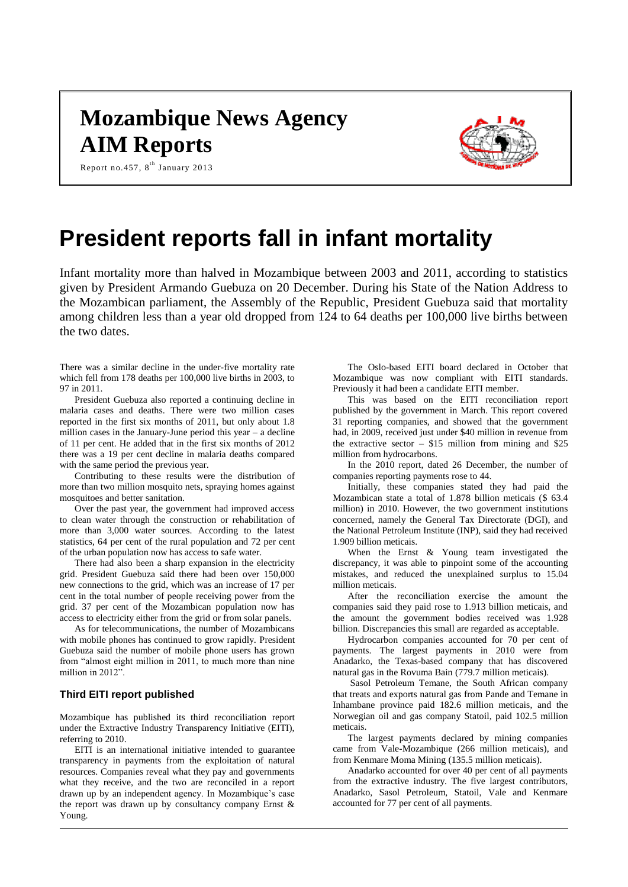# **Mozambique News Agency AIM Reports**



Report no.457, 8<sup>th</sup> January 2013

# **President reports fall in infant mortality**

Infant mortality more than halved in Mozambique between 2003 and 2011, according to statistics given by President Armando Guebuza on 20 December. During his State of the Nation Address to the Mozambican parliament, the Assembly of the Republic, President Guebuza said that mortality among children less than a year old dropped from 124 to 64 deaths per 100,000 live births between the two dates.

There was a similar decline in the under-five mortality rate which fell from 178 deaths per 100,000 live births in 2003, to 97 in 2011.

President Guebuza also reported a continuing decline in malaria cases and deaths. There were two million cases reported in the first six months of 2011, but only about 1.8 million cases in the January-June period this year – a decline of 11 per cent. He added that in the first six months of 2012 there was a 19 per cent decline in malaria deaths compared with the same period the previous year.

Contributing to these results were the distribution of more than two million mosquito nets, spraying homes against mosquitoes and better sanitation.

Over the past year, the government had improved access to clean water through the construction or rehabilitation of more than 3,000 water sources. According to the latest statistics, 64 per cent of the rural population and 72 per cent of the urban population now has access to safe water.

There had also been a sharp expansion in the electricity grid. President Guebuza said there had been over 150,000 new connections to the grid, which was an increase of 17 per cent in the total number of people receiving power from the grid. 37 per cent of the Mozambican population now has access to electricity either from the grid or from solar panels.

As for telecommunications, the number of Mozambicans with mobile phones has continued to grow rapidly. President Guebuza said the number of mobile phone users has grown from "almost eight million in 2011, to much more than nine million in 2012".

## **Third EITI report published**

Mozambique has published its third reconciliation report under the Extractive Industry Transparency Initiative (EITI), referring to 2010.

EITI is an international initiative intended to guarantee transparency in payments from the exploitation of natural resources. Companies reveal what they pay and governments what they receive, and the two are reconciled in a report drawn up by an independent agency. In Mozambique's case the report was drawn up by consultancy company Ernst  $\&$ Young.

The Oslo-based EITI board declared in October that Mozambique was now compliant with EITI standards. Previously it had been a candidate EITI member.

This was based on the EITI reconciliation report published by the government in March. This report covered 31 reporting companies, and showed that the government had, in 2009, received just under \$40 million in revenue from the extractive sector  $-$  \$15 million from mining and \$25 million from hydrocarbons.

In the 2010 report, dated 26 December, the number of companies reporting payments rose to 44.

Initially, these companies stated they had paid the Mozambican state a total of 1.878 billion meticais (\$ 63.4 million) in 2010. However, the two government institutions concerned, namely the General Tax Directorate (DGI), and the National Petroleum Institute (INP), said they had received 1.909 billion meticais.

When the Ernst & Young team investigated the discrepancy, it was able to pinpoint some of the accounting mistakes, and reduced the unexplained surplus to 15.04 million meticais.

After the reconciliation exercise the amount the companies said they paid rose to 1.913 billion meticais, and the amount the government bodies received was 1.928 billion. Discrepancies this small are regarded as acceptable.

Hydrocarbon companies accounted for 70 per cent of payments. The largest payments in 2010 were from Anadarko, the Texas-based company that has discovered natural gas in the Rovuma Bain (779.7 million meticais).

Sasol Petroleum Temane, the South African company that treats and exports natural gas from Pande and Temane in Inhambane province paid 182.6 million meticais, and the Norwegian oil and gas company Statoil, paid 102.5 million meticais.

The largest payments declared by mining companies came from Vale-Mozambique (266 million meticais), and from Kenmare Moma Mining (135.5 million meticais).

Anadarko accounted for over 40 per cent of all payments from the extractive industry. The five largest contributors, Anadarko, Sasol Petroleum, Statoil, Vale and Kenmare accounted for 77 per cent of all payments.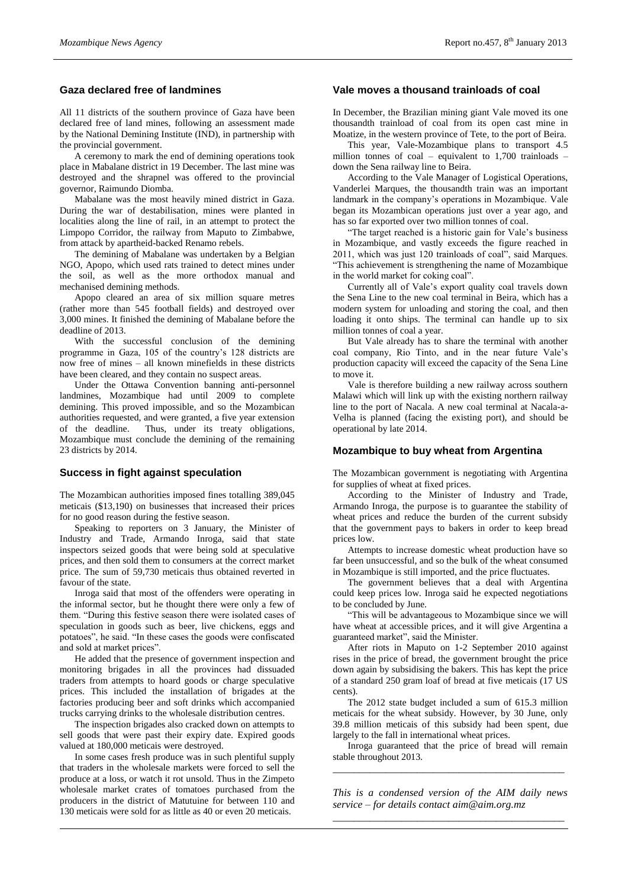## **Gaza declared free of landmines**

All 11 districts of the southern province of Gaza have been declared free of land mines, following an assessment made by the National Demining Institute (IND), in partnership with the provincial government.

A ceremony to mark the end of demining operations took place in Mabalane district in 19 December. The last mine was destroyed and the shrapnel was offered to the provincial governor, Raimundo Diomba.

Mabalane was the most heavily mined district in Gaza. During the war of destabilisation, mines were planted in localities along the line of rail, in an attempt to protect the Limpopo Corridor, the railway from Maputo to Zimbabwe, from attack by apartheid-backed Renamo rebels.

The demining of Mabalane was undertaken by a Belgian NGO, Apopo, which used rats trained to detect mines under the soil, as well as the more orthodox manual and mechanised demining methods.

Apopo cleared an area of six million square metres (rather more than 545 football fields) and destroyed over 3,000 mines. It finished the demining of Mabalane before the deadline of 2013.

With the successful conclusion of the demining programme in Gaza, 105 of the country's 128 districts are now free of mines – all known minefields in these districts have been cleared, and they contain no suspect areas.

Under the Ottawa Convention banning anti-personnel landmines, Mozambique had until 2009 to complete demining. This proved impossible, and so the Mozambican authorities requested, and were granted, a five year extension of the deadline. Thus, under its treaty obligations, Mozambique must conclude the demining of the remaining 23 districts by 2014.

#### **Success in fight against speculation**

The Mozambican authorities imposed fines totalling 389,045 meticais (\$13,190) on businesses that increased their prices for no good reason during the festive season.

Speaking to reporters on 3 January, the Minister of Industry and Trade, Armando Inroga, said that state inspectors seized goods that were being sold at speculative prices, and then sold them to consumers at the correct market price. The sum of 59,730 meticais thus obtained reverted in favour of the state.

Inroga said that most of the offenders were operating in the informal sector, but he thought there were only a few of them. "During this festive season there were isolated cases of speculation in goods such as beer, live chickens, eggs and potatoes", he said. "In these cases the goods were confiscated and sold at market prices".

He added that the presence of government inspection and monitoring brigades in all the provinces had dissuaded traders from attempts to hoard goods or charge speculative prices. This included the installation of brigades at the factories producing beer and soft drinks which accompanied trucks carrying drinks to the wholesale distribution centres.

The inspection brigades also cracked down on attempts to sell goods that were past their expiry date. Expired goods valued at 180,000 meticais were destroyed.

In some cases fresh produce was in such plentiful supply that traders in the wholesale markets were forced to sell the produce at a loss, or watch it rot unsold. Thus in the Zimpeto wholesale market crates of tomatoes purchased from the producers in the district of Matutuine for between 110 and 130 meticais were sold for as little as 40 or even 20 meticais.

### **Vale moves a thousand trainloads of coal**

In December, the Brazilian mining giant Vale moved its one thousandth trainload of coal from its open cast mine in Moatize, in the western province of Tete, to the port of Beira.

This year, Vale-Mozambique plans to transport 4.5 million tonnes of coal – equivalent to 1,700 trainloads – down the Sena railway line to Beira.

According to the Vale Manager of Logistical Operations, Vanderlei Marques, the thousandth train was an important landmark in the company's operations in Mozambique. Vale began its Mozambican operations just over a year ago, and has so far exported over two million tonnes of coal.

"The target reached is a historic gain for Vale's business in Mozambique, and vastly exceeds the figure reached in 2011, which was just 120 trainloads of coal", said Marques. "This achievement is strengthening the name of Mozambique in the world market for coking coal".

Currently all of Vale's export quality coal travels down the Sena Line to the new coal terminal in Beira, which has a modern system for unloading and storing the coal, and then loading it onto ships. The terminal can handle up to six million tonnes of coal a year.

But Vale already has to share the terminal with another coal company, Rio Tinto, and in the near future Vale's production capacity will exceed the capacity of the Sena Line to move it.

Vale is therefore building a new railway across southern Malawi which will link up with the existing northern railway line to the port of Nacala. A new coal terminal at Nacala-a-Velha is planned (facing the existing port), and should be operational by late 2014.

#### **Mozambique to buy wheat from Argentina**

The Mozambican government is negotiating with Argentina for supplies of wheat at fixed prices.

According to the Minister of Industry and Trade, Armando Inroga, the purpose is to guarantee the stability of wheat prices and reduce the burden of the current subsidy that the government pays to bakers in order to keep bread prices low.

Attempts to increase domestic wheat production have so far been unsuccessful, and so the bulk of the wheat consumed in Mozambique is still imported, and the price fluctuates.

The government believes that a deal with Argentina could keep prices low. Inroga said he expected negotiations to be concluded by June.

"This will be advantageous to Mozambique since we will have wheat at accessible prices, and it will give Argentina a guaranteed market", said the Minister.

After riots in Maputo on 1-2 September 2010 against rises in the price of bread, the government brought the price down again by subsidising the bakers. This has kept the price of a standard 250 gram loaf of bread at five meticais (17 US cents).

The 2012 state budget included a sum of 615.3 million meticais for the wheat subsidy. However, by 30 June, only 39.8 million meticais of this subsidy had been spent, due largely to the fall in international wheat prices.

Inroga guaranteed that the price of bread will remain stable throughout 2013. *\_\_\_\_\_\_\_\_\_\_\_\_\_\_\_\_\_\_\_\_\_\_\_\_\_\_\_\_\_\_\_\_\_\_\_\_\_\_\_\_\_\_\_\_*

*This is a condensed version of the AIM daily news service – for details contact [aim@aim.org.mz](mailto:aim@aim.org.mz) \_\_\_\_\_\_\_\_\_\_\_\_\_\_\_\_\_\_\_\_\_\_\_\_\_\_\_\_\_\_\_\_\_\_\_\_\_\_\_\_\_\_\_\_*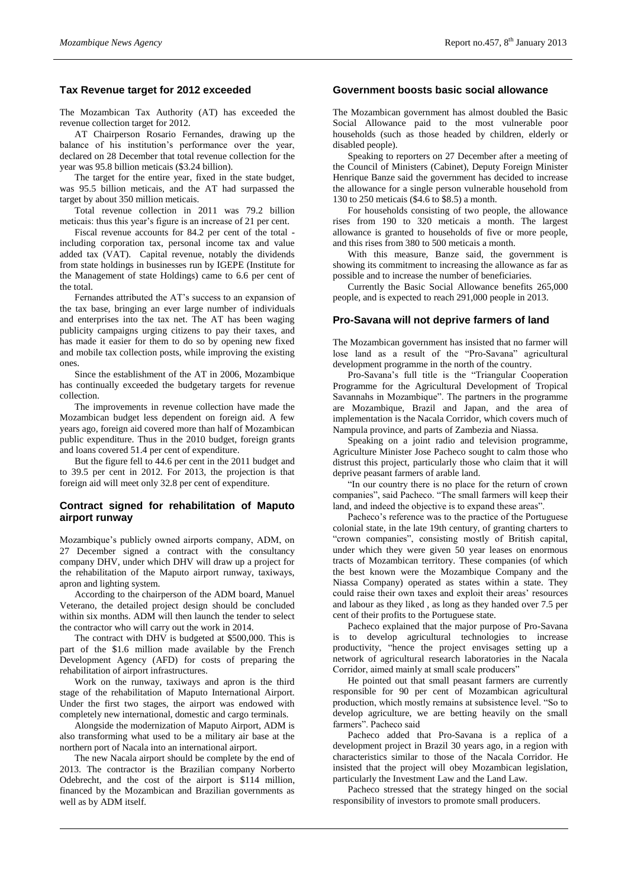## **Tax Revenue target for 2012 exceeded**

The Mozambican Tax Authority (AT) has exceeded the revenue collection target for 2012.

AT Chairperson Rosario Fernandes, drawing up the balance of his institution's performance over the year, declared on 28 December that total revenue collection for the year was 95.8 billion meticais (\$3.24 billion).

The target for the entire year, fixed in the state budget, was 95.5 billion meticais, and the AT had surpassed the target by about 350 million meticais.

Total revenue collection in 2011 was 79.2 billion meticais: thus this year's figure is an increase of 21 per cent.

Fiscal revenue accounts for 84.2 per cent of the total including corporation tax, personal income tax and value added tax (VAT). Capital revenue, notably the dividends from state holdings in businesses run by IGEPE (Institute for the Management of state Holdings) came to 6.6 per cent of the total.

Fernandes attributed the AT's success to an expansion of the tax base, bringing an ever large number of individuals and enterprises into the tax net. The AT has been waging publicity campaigns urging citizens to pay their taxes, and has made it easier for them to do so by opening new fixed and mobile tax collection posts, while improving the existing ones.

Since the establishment of the AT in 2006, Mozambique has continually exceeded the budgetary targets for revenue collection.

The improvements in revenue collection have made the Mozambican budget less dependent on foreign aid. A few years ago, foreign aid covered more than half of Mozambican public expenditure. Thus in the 2010 budget, foreign grants and loans covered 51.4 per cent of expenditure.

But the figure fell to 44.6 per cent in the 2011 budget and to 39.5 per cent in 2012. For 2013, the projection is that foreign aid will meet only 32.8 per cent of expenditure.

### **Contract signed for rehabilitation of Maputo airport runway**

Mozambique's publicly owned airports company, ADM, on 27 December signed a contract with the consultancy company DHV, under which DHV will draw up a project for the rehabilitation of the Maputo airport runway, taxiways, apron and lighting system.

According to the chairperson of the ADM board, Manuel Veterano, the detailed project design should be concluded within six months. ADM will then launch the tender to select the contractor who will carry out the work in 2014.

The contract with DHV is budgeted at \$500,000. This is part of the \$1.6 million made available by the French Development Agency (AFD) for costs of preparing the rehabilitation of airport infrastructures.

Work on the runway, taxiways and apron is the third stage of the rehabilitation of Maputo International Airport. Under the first two stages, the airport was endowed with completely new international, domestic and cargo terminals.

Alongside the modernization of Maputo Airport, ADM is also transforming what used to be a military air base at the northern port of Nacala into an international airport.

The new Nacala airport should be complete by the end of 2013. The contractor is the Brazilian company Norberto Odebrecht, and the cost of the airport is \$114 million, financed by the Mozambican and Brazilian governments as well as by ADM itself.

### **Government boosts basic social allowance**

The Mozambican government has almost doubled the Basic Social Allowance paid to the most vulnerable poor households (such as those headed by children, elderly or disabled people).

Speaking to reporters on 27 December after a meeting of the Council of Ministers (Cabinet), Deputy Foreign Minister Henrique Banze said the government has decided to increase the allowance for a single person vulnerable household from 130 to 250 meticais (\$4.6 to \$8.5) a month.

For households consisting of two people, the allowance rises from 190 to 320 meticais a month. The largest allowance is granted to households of five or more people, and this rises from 380 to 500 meticais a month.

With this measure, Banze said, the government is showing its commitment to increasing the allowance as far as possible and to increase the number of beneficiaries.

Currently the Basic Social Allowance benefits 265,000 people, and is expected to reach 291,000 people in 2013.

#### **Pro-Savana will not deprive farmers of land**

The Mozambican government has insisted that no farmer will lose land as a result of the "Pro-Savana" agricultural development programme in the north of the country.

Pro-Savana's full title is the "Triangular Cooperation Programme for the Agricultural Development of Tropical Savannahs in Mozambique". The partners in the programme are Mozambique, Brazil and Japan, and the area of implementation is the Nacala Corridor, which covers much of Nampula province, and parts of Zambezia and Niassa.

Speaking on a joint radio and television programme, Agriculture Minister Jose Pacheco sought to calm those who distrust this project, particularly those who claim that it will deprive peasant farmers of arable land.

"In our country there is no place for the return of crown companies", said Pacheco. "The small farmers will keep their land, and indeed the objective is to expand these areas".

Pacheco's reference was to the practice of the Portuguese colonial state, in the late 19th century, of granting charters to "crown companies", consisting mostly of British capital, under which they were given 50 year leases on enormous tracts of Mozambican territory. These companies (of which the best known were the Mozambique Company and the Niassa Company) operated as states within a state. They could raise their own taxes and exploit their areas' resources and labour as they liked , as long as they handed over 7.5 per cent of their profits to the Portuguese state.

Pacheco explained that the major purpose of Pro-Savana is to develop agricultural technologies to increase productivity, "hence the project envisages setting up a network of agricultural research laboratories in the Nacala Corridor, aimed mainly at small scale producers"

He pointed out that small peasant farmers are currently responsible for 90 per cent of Mozambican agricultural production, which mostly remains at subsistence level. "So to develop agriculture, we are betting heavily on the small farmers". Pacheco said

Pacheco added that Pro-Savana is a replica of a development project in Brazil 30 years ago, in a region with characteristics similar to those of the Nacala Corridor. He insisted that the project will obey Mozambican legislation, particularly the Investment Law and the Land Law.

Pacheco stressed that the strategy hinged on the social responsibility of investors to promote small producers.